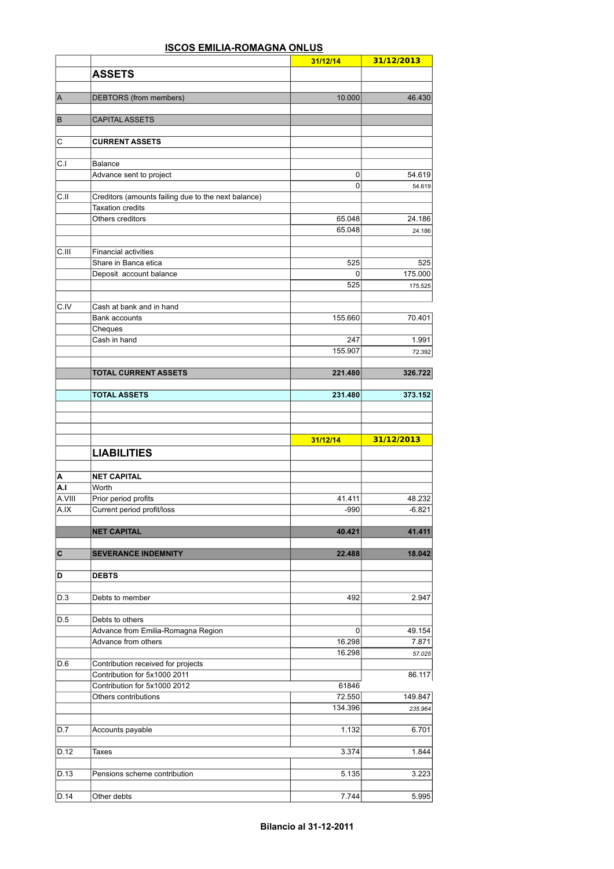## **ISCOS EMILIA-ROMAGNA ONLUS**

|                         |                                                                                | 31/12/14        | 31/12/2013                                    |
|-------------------------|--------------------------------------------------------------------------------|-----------------|-----------------------------------------------|
|                         | <b>ASSETS</b>                                                                  |                 |                                               |
|                         |                                                                                |                 |                                               |
| $\overline{\mathsf{A}}$ | DEBTORS (from members)                                                         | 10.000          | 46.430                                        |
| B                       | <b>CAPITAL ASSETS</b>                                                          |                 |                                               |
| С                       | <b>CURRENT ASSETS</b>                                                          |                 |                                               |
|                         |                                                                                |                 |                                               |
| C.I                     | <b>Balance</b>                                                                 |                 |                                               |
|                         | Advance sent to project                                                        | 0               | 54.619                                        |
|                         |                                                                                | $\mathbf 0$     | 54.619                                        |
| C.II                    | Creditors (amounts failing due to the next balance)<br><b>Taxation credits</b> |                 |                                               |
|                         | Others creditors                                                               | 65.048          | 24.186                                        |
|                         |                                                                                | 65.048          | 24.186                                        |
|                         |                                                                                |                 |                                               |
| C.III                   | <b>Financial activities</b>                                                    |                 |                                               |
|                         | Share in Banca etica<br>Deposit account balance                                | 525<br>$\Omega$ | 525<br>175.000                                |
|                         |                                                                                | 525             | 175.525                                       |
|                         |                                                                                |                 |                                               |
| C.IV                    | Cash at bank and in hand                                                       |                 |                                               |
|                         | Bank accounts                                                                  | 155.660         | 70.401                                        |
|                         | Cheques<br>Cash in hand                                                        | 247             | 1.991                                         |
|                         |                                                                                | 155.907         | 72.392                                        |
|                         |                                                                                |                 |                                               |
|                         | <b>TOTAL CURRENT ASSETS</b>                                                    | 221.480         | 326.722                                       |
|                         |                                                                                |                 |                                               |
|                         | <b>TOTAL ASSETS</b>                                                            | 231.480         | 373.152                                       |
|                         |                                                                                |                 |                                               |
|                         |                                                                                |                 |                                               |
|                         |                                                                                | 31/12/14        | 31/12/2013                                    |
|                         | <b>LIABILITIES</b>                                                             |                 |                                               |
|                         |                                                                                |                 |                                               |
| А                       | <b>NET CAPITAL</b>                                                             |                 |                                               |
| A.I                     | Worth                                                                          |                 |                                               |
| A.VIII                  | Prior period profits                                                           | 41.411          | 48.232                                        |
| A.IX                    | Current period profit/loss                                                     | $-990$          | $-6.821$                                      |
|                         |                                                                                |                 |                                               |
|                         | <b>NET CAPITAL</b>                                                             | 40.421          | 41.411                                        |
| C                       | <b>SEVERANCE INDEMNITY</b>                                                     | 22.488          | 18.042                                        |
|                         |                                                                                |                 |                                               |
| D                       | <b>DEBTS</b>                                                                   |                 |                                               |
| D.3                     | Debts to member                                                                | 492             | 2.947                                         |
|                         |                                                                                |                 |                                               |
| D.5                     | Debts to others                                                                |                 |                                               |
|                         | Advance from Emilia-Romagna Region                                             | 0               | 49.154                                        |
|                         | Advance from others                                                            | 16.298          | 7.871                                         |
|                         |                                                                                | 16.298          |                                               |
| D.6                     | Contribution received for projects<br>Contribution for 5x1000 2011             |                 |                                               |
|                         | Contribution for 5x1000 2012                                                   | 61846           |                                               |
|                         | Others contributions                                                           | 72.550          |                                               |
|                         |                                                                                | 134.396         | 235.964                                       |
|                         |                                                                                |                 |                                               |
| D.7                     | Accounts payable                                                               | 1.132           | 6.701                                         |
| D.12                    | Taxes                                                                          | 3.374           | 1.844                                         |
|                         |                                                                                |                 |                                               |
| D.13                    | Pensions scheme contribution                                                   | 5.135           |                                               |
| D.14                    | Other debts                                                                    | 7.744           | 57.025<br>86.117<br>149.847<br>3.223<br>5.995 |